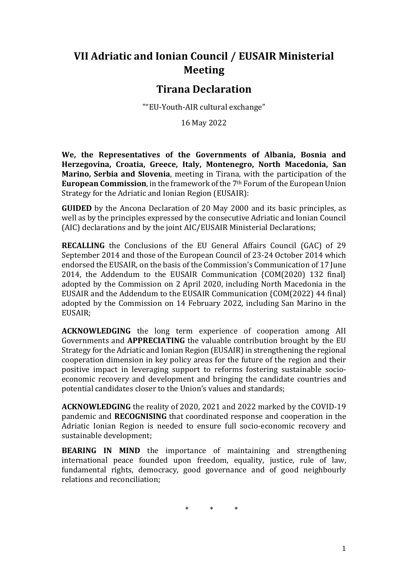# **VII Adriatic and Ionian Council / EUSAIR Ministerial Meeting**

## **Tirana Declaration**

""EU-Youth-AIR cultural exchange"

16 May 2022

**We, the Representatives of the Governments of Albania, Bosnia and Herzegovina, Croatia, Greece, Italy, Montenegro, North Macedonia, San Marino, Serbia and Slovenia**, meeting in Tirana, with the participation of the **European Commission**, in the framework of the 7th Forum of the European Union Strategy for the Adriatic and Ionian Region (EUSAIR):

**GUIDED** by the Ancona Declaration of 20 May 2000 and its basic principles, as well as by the principles expressed by the consecutive Adriatic and Ionian Council (AIC) declarations and by the joint AIC/EUSAIR Ministerial Declarations;

**RECALLING** the Conclusions of the EU General Affairs Council (GAC) of 29 September 2014 and those of the European Council of 23-24 October 2014 which endorsed the EUSAIR, on the basis of the Commission's Communication of 17 June 2014, the Addendum to the EUSAIR Communication {COM(2020) 132 final} adopted by the Commission on 2 April 2020, including North Macedonia in the EUSAIR and the Addendum to the EUSAIR Communication {COM(2022) 44 final} adopted by the Commission on 14 February 2022, including San Marino in the EUSAIR;

**ACKNOWLEDGING** the long term experience of cooperation among AII Governments and **APPRECIATING** the valuable contribution brought by the EU Strategy for the Adriatic and Ionian Region (EUSAIR) in strengthening the regional cooperation dimension in key policy areas for the future of the region and their positive impact in leveraging support to reforms fostering sustainable socioeconomic recovery and development and bringing the candidate countries and potential candidates closer to the Union's values and standards;

**ACKNOWLEDGING** the reality of 2020, 2021 and 2022 marked by the COVID-19 pandemic and **RECOGNISING** that coordinated response and cooperation in the Adriatic Ionian Region is needed to ensure full socio-economic recovery and sustainable development;

**BEARING IN MIND** the importance of maintaining and strengthening international peace founded upon freedom, equality, justice, rule of law, fundamental rights, democracy, good governance and of good neighbourly relations and reconciliation;

\* \* \*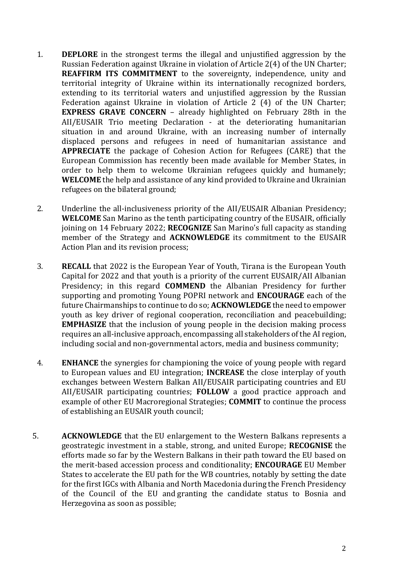- 1. **DEPLORE** in the strongest terms the illegal and unjustified aggression by the Russian Federation against Ukraine in violation of Article 2(4) of the UN Charter; **REAFFIRM ITS COMMITMENT** to the sovereignty, independence, unity and territorial integrity of Ukraine within its internationally recognized borders, extending to its territorial waters and unjustified aggression by the Russian Federation against Ukraine in violation of Article 2 (4) of the UN Charter; **EXPRESS GRAVE CONCERN** – already highlighted on February 28th in the AII/EUSAIR Trio meeting Declaration - at the deteriorating humanitarian situation in and around Ukraine, with an increasing number of internally displaced persons and refugees in need of humanitarian assistance and **APPRECIATE** the package of Cohesion Action for Refugees (CARE) that the European Commission has recently been made available for Member States, in order to help them to welcome Ukrainian refugees quickly and humanely; **WELCOME** the help and assistance of any kind provided to Ukraine and Ukrainian refugees on the bilateral ground;
- 2. Underline the all-inclusiveness priority of the AII/EUSAIR Albanian Presidency; **WELCOME** San Marino as the tenth participating country of the EUSAIR, officially joining on 14 February 2022; **RECOGNIZE** San Marino's full capacity as standing member of the Strategy and **ACKNOWLEDGE** its commitment to the EUSAIR Action Plan and its revision process;
- 3. **RECALL** that 2022 is the European Year of Youth, Tirana is the European Youth Capital for 2022 and that youth is a priority of the current EUSAIR/AII Albanian Presidency; in this regard **COMMEND** the Albanian Presidency for further supporting and promoting Young POPRI network and **ENCOURAGE** each of the future Chairmanships to continue to do so; **ACKNOWLEDGE** the need to empower youth as key driver of regional cooperation, reconciliation and peacebuilding; **EMPHASIZE** that the inclusion of young people in the decision making process requires an all-inclusive approach, encompassing all stakeholders of the AI region, including social and non-governmental actors, media and business community;
- 4. **ENHANCE** the synergies for championing the voice of young people with regard to European values and EU integration; **INCREASE** the close interplay of youth exchanges between Western Balkan AII/EUSAIR participating countries and EU AII/EUSAIR participating countries; **FOLLOW** a good practice approach and example of other EU Macroregional Strategies; **COMMIT** to continue the process of establishing an EUSAIR youth council;
- 5. **ACKNOWLEDGE** that the EU enlargement to the Western Balkans represents a geostrategic investment in a stable, strong, and united Europe; **RECOGNISE** the efforts made so far by the Western Balkans in their path toward the EU based on the merit-based accession process and conditionality; **ENCOURAGE** EU Member States to accelerate the EU path for the WB countries, notably by setting the date for the first IGCs with Albania and North Macedonia during the French Presidency of the Council of the EU and granting the candidate status to Bosnia and Herzegovina as soon as possible;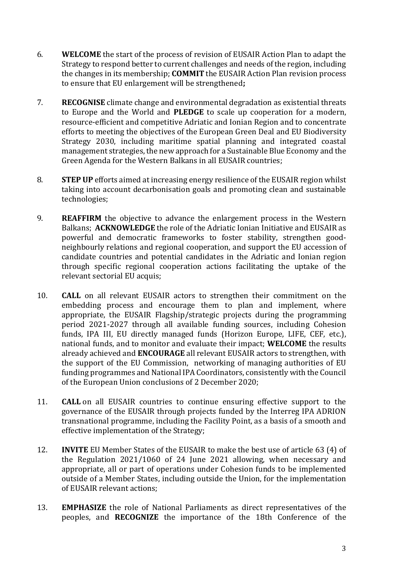- 6. **WELCOME** the start of the process of revision of EUSAIR Action Plan to adapt the Strategy to respond better to current challenges and needs of the region, including the changes in its membership; **COMMIT** the EUSAIR Action Plan revision process to ensure that EU enlargement will be strengthened**;**
- 7. **RECOGNISE** climate change and environmental degradation as existential threats to Europe and the World and **PLEDGE** to scale up cooperation for a modern, resource-efficient and competitive Adriatic and Ionian Region and to concentrate efforts to meeting the objectives of the European Green Deal and EU Biodiversity Strategy 2030, including maritime spatial planning and integrated coastal management strategies, the new approach for a Sustainable Blue Economy and the Green Agenda for the Western Balkans in all EUSAIR countries;
- 8. **STEP UP** efforts aimed at increasing energy resilience of the EUSAIR region whilst taking into account decarbonisation goals and promoting clean and sustainable technologies;
- 9. **REAFFIRM** the objective to advance the enlargement process in the Western Balkans; **ACKNOWLEDGE** the role of the Adriatic Ionian Initiative and EUSAIR as powerful and democratic frameworks to foster stability, strengthen goodneighbourly relations and regional cooperation, and support the EU accession of candidate countries and potential candidates in the Adriatic and Ionian region through specific regional cooperation actions facilitating the uptake of the relevant sectorial EU acquis;
- 10. **CALL** on all relevant EUSAIR actors to strengthen their commitment on the embedding process and encourage them to plan and implement, where appropriate, the EUSAIR Flagship/strategic projects during the programming period 2021-2027 through all available funding sources, including Cohesion funds, IPA III, EU directly managed funds (Horizon Europe, LIFE, CEF, etc.), national funds, and to monitor and evaluate their impact; **WELCOME** the results already achieved and **ENCOURAGE** all relevant EUSAIR actors to strengthen, with the support of the EU Commission, networking of managing authorities of EU funding programmes and National IPA Coordinators, consistently with the Council of the European Union conclusions of 2 December 2020;
- 11. **CALL** on all EUSAIR countries to continue ensuring effective support to the governance of the EUSAIR through projects funded by the Interreg IPA ADRION transnational programme, including the Facility Point, as a basis of a smooth and effective implementation of the Strategy;
- 12. **INVITE** EU Member States of the EUSAIR to make the best use of article 63 (4) of the Regulation 2021/1060 of 24 June 2021 allowing, when necessary and appropriate, all or part of operations under Cohesion funds to be implemented outside of a Member States, including outside the Union, for the implementation of EUSAIR relevant actions;
- 13. **EMPHASIZE** the role of National Parliaments as direct representatives of the peoples, and **RECOGNIZE** the importance of the 18th Conference of the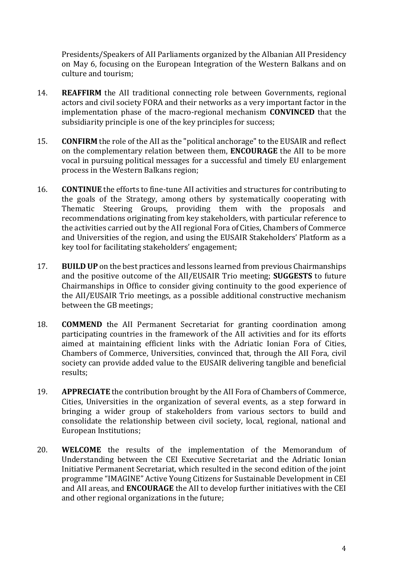Presidents/Speakers of AII Parliaments organized by the Albanian AII Presidency on May 6, focusing on the European Integration of the Western Balkans and on culture and tourism;

- 14. **REAFFIRM** the AII traditional connecting role between Governments, regional actors and civil society FORA and their networks as a very important factor in the implementation phase of the macro-regional mechanism **CONVINCED** that the subsidiarity principle is one of the key principles for success;
- 15. **CONFIRM** the role of the AII as the "political anchorage" to the EUSAIR and reflect on the complementary relation between them, **ENCOURAGE** the AII to be more vocal in pursuing political messages for a successful and timely EU enlargement process in the Western Balkans region;
- 16. **CONTINUE** the efforts to fine-tune AII activities and structures for contributing to the goals of the Strategy, among others by systematically cooperating with Thematic Steering Groups, providing them with the proposals and recommendations originating from key stakeholders, with particular reference to the activities carried out by the AII regional Fora of Cities, Chambers of Commerce and Universities of the region, and using the EUSAIR Stakeholders' Platform as a key tool for facilitating stakeholders' engagement;
- 17. **BUILD UP** on the best practices and lessons learned from previous Chairmanships and the positive outcome of the AII/EUSAIR Trio meeting; **SUGGESTS** to future Chairmanships in Office to consider giving continuity to the good experience of the AII/EUSAIR Trio meetings, as a possible additional constructive mechanism between the GB meetings;
- 18. **COMMEND** the AII Permanent Secretariat for granting coordination among participating countries in the framework of the AII activities and for its efforts aimed at maintaining efficient links with the Adriatic Ionian Fora of Cities, Chambers of Commerce, Universities, convinced that, through the AII Fora, civil society can provide added value to the EUSAIR delivering tangible and beneficial results;
- 19. **APPRECIATE** the contribution brought by the AII Fora of Chambers of Commerce, Cities, Universities in the organization of several events, as a step forward in bringing a wider group of stakeholders from various sectors to build and consolidate the relationship between civil society, local, regional, national and European Institutions;
- 20. **WELCOME** the results of the implementation of the Memorandum of Understanding between the CEI Executive Secretariat and the Adriatic Ionian Initiative Permanent Secretariat, which resulted in the second edition of the joint programme "IMAGINE" Active Young Citizens for Sustainable Development in CEI and AII areas, and **ENCOURAGE** the AII to develop further initiatives with the CEI and other regional organizations in the future;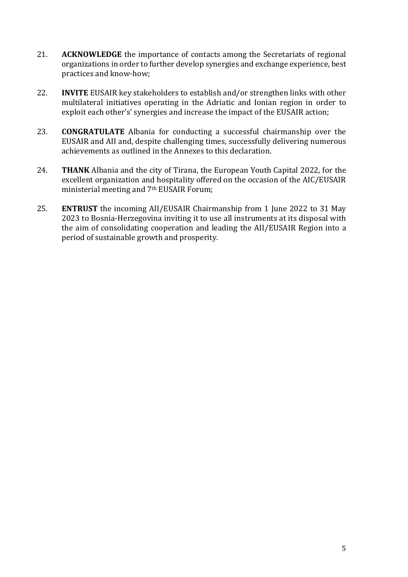- 21. **ACKNOWLEDGE** the importance of contacts among the Secretariats of regional organizations in order to further develop synergies and exchange experience, best practices and know-how;
- 22. **INVITE** EUSAIR key stakeholders to establish and/or strengthen links with other multilateral initiatives operating in the Adriatic and Ionian region in order to exploit each other's' synergies and increase the impact of the EUSAIR action;
- 23. **CONGRATULATE** Albania for conducting a successful chairmanship over the EUSAIR and AII and, despite challenging times, successfully delivering numerous achievements as outlined in the Annexes to this declaration.
- 24. **THANK** Albania and the city of Tirana, the European Youth Capital 2022, for the excellent organization and hospitality offered on the occasion of the AIC/EUSAIR ministerial meeting and 7th EUSAIR Forum;
- 25. **ENTRUST** the incoming AII/EUSAIR Chairmanship from 1 June 2022 to 31 May 2023 to Bosnia-Herzegovina inviting it to use all instruments at its disposal with the aim of consolidating cooperation and leading the AII/EUSAIR Region into a period of sustainable growth and prosperity.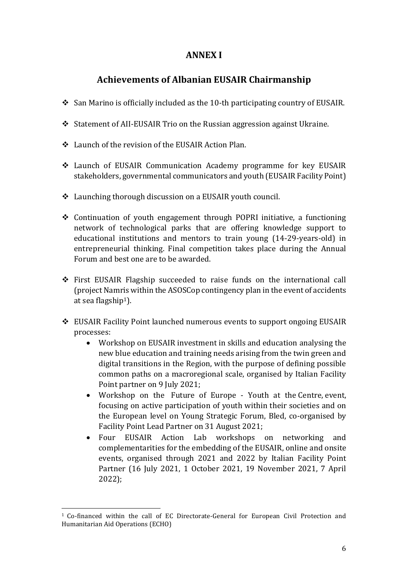#### **ANNEX I**

## **Achievements of Albanian EUSAIR Chairmanship**

- $\div$  San Marino is officially included as the 10-th participating country of EUSAIR.
- Statement of AII-EUSAIR Trio on the Russian aggression against Ukraine.
- Launch of the revision of the EUSAIR Action Plan.
- Launch of EUSAIR Communication Academy programme for key EUSAIR stakeholders, governmental communicators and youth (EUSAIR Facility Point)
- Launching thorough discussion on a EUSAIR youth council.
- $\div$  Continuation of youth engagement through POPRI initiative, a functioning network of technological parks that are offering knowledge support to educational institutions and mentors to train young (14-29-years-old) in entrepreneurial thinking. Final competition takes place during the Annual Forum and best one are to be awarded.
- First EUSAIR Flagship succeeded to raise funds on the international call (project Namris within the ASOSCop contingency plan in the event of accidents at sea flagship<sup>1</sup>).
- EUSAIR Facility Point launched numerous events to support ongoing EUSAIR processes:
	- Workshop on EUSAIR investment in skills and education analysing the new blue education and training needs arising from the twin green and digital transitions in the Region, with the purpose of defining possible common paths on a macroregional scale, organised by Italian Facility Point partner on 9 July 2021;
	- Workshop on the Future of Europe Youth at the Centre, event, focusing on active participation of youth within their societies and on the European level on Young Strategic Forum, Bled, co-organised by Facility Point Lead Partner on 31 August 2021;
	- Four EUSAIR Action Lab workshops on networking and complementarities for the embedding of the EUSAIR, online and onsite events, organised through 2021 and 2022 by Italian Facility Point Partner (16 July 2021, 1 October 2021, 19 November 2021, 7 April 2022);

 $\overline{\phantom{0}}$ 

<sup>1</sup> Co-financed within the call of EC Directorate-General for European Civil Protection and Humanitarian Aid Operations (ECHO)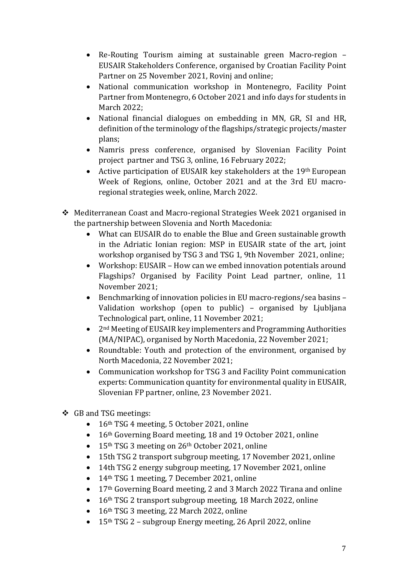- Re-Routing Tourism aiming at sustainable green Macro-region EUSAIR Stakeholders Conference, organised by Croatian Facility Point Partner on 25 November 2021, Rovinj and online;
- National communication workshop in Montenegro, Facility Point Partner from Montenegro, 6 October 2021 and info days for students in March 2022;
- National financial dialogues on embedding in MN, GR, SI and HR, definition of the terminology of the flagships/strategic projects/master plans;
- Namris press conference, organised by Slovenian Facility Point project partner and TSG 3, online, 16 February 2022;
- Active participation of EUSAIR key stakeholders at the 19th European Week of Regions, online, October 2021 and at the 3rd EU macroregional strategies week, online, March 2022.
- Mediterranean Coast and Macro-regional Strategies Week 2021 organised in the partnership between Slovenia and North Macedonia:
	- What can EUSAIR do to enable the Blue and Green sustainable growth in the Adriatic Ionian region: MSP in EUSAIR state of the art, joint workshop organised by TSG 3 and TSG 1, 9th November 2021, online;
	- Workshop: EUSAIR How can we embed innovation potentials around Flagships? Organised by Facility Point Lead partner, online, 11 November 2021;
	- Benchmarking of innovation policies in EU macro-regions/sea basins Validation workshop (open to public) – organised by Ljubljana Technological part, online, 11 November 2021;
	- 2<sup>nd</sup> Meeting of EUSAIR key implementers and Programming Authorities (MA/NIPAC), organised by North Macedonia, 22 November 2021;
	- Roundtable: Youth and protection of the environment, organised by North Macedonia, 22 November 2021;
	- Communication workshop for TSG 3 and Facility Point communication experts: Communication quantity for environmental quality in EUSAIR, Slovenian FP partner, online, 23 November 2021.
- GB and TSG meetings:
	- 16<sup>th</sup> TSG 4 meeting, 5 October 2021, online
	- 16<sup>th</sup> Governing Board meeting, 18 and 19 October 2021, online
	- 15<sup>th</sup> TSG 3 meeting on 26<sup>th</sup> October 2021, online
	- 15th TSG 2 transport subgroup meeting, 17 November 2021, online
	- 14th TSG 2 energy subgroup meeting, 17 November 2021, online
	- 14<sup>th</sup> TSG 1 meeting, 7 December 2021, online
	- 17<sup>th</sup> Governing Board meeting, 2 and 3 March 2022 Tirana and online
	- $\bullet$  16<sup>th</sup> TSG 2 transport subgroup meeting, 18 March 2022, online
	- 16<sup>th</sup> TSG 3 meeting, 22 March 2022, online
	- $\bullet$  15<sup>th</sup> TSG 2 subgroup Energy meeting, 26 April 2022, online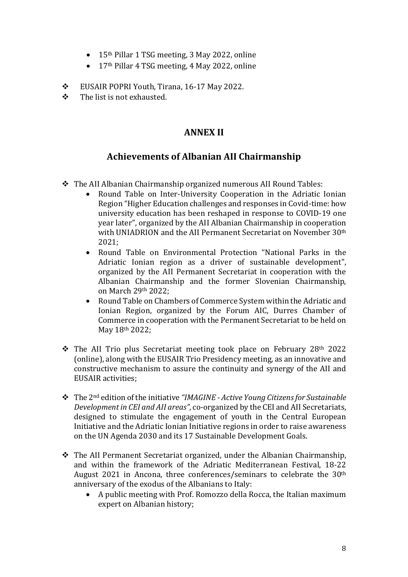- 15<sup>th</sup> Pillar 1 TSG meeting, 3 May 2022, online
- 17<sup>th</sup> Pillar 4 TSG meeting, 4 May 2022, online
- EUSAIR POPRI Youth, Tirana, 16-17 May 2022.
- $\div$  The list is not exhausted.

### **ANNEX II**

### **Achievements of Albanian AII Chairmanship**

- $\div$  The AII Albanian Chairmanship organized numerous AII Round Tables:
	- Round Table on Inter-University Cooperation in the Adriatic Ionian Region "Higher Education challenges and responses in Covid-time: how university education has been reshaped in response to COVID-19 one year later", organized by the AII Albanian Chairmanship in cooperation with UNIADRION and the AII Permanent Secretariat on November 30<sup>th</sup> 2021;
	- Round Table on Environmental Protection "National Parks in the Adriatic Ionian region as a driver of sustainable development", organized by the AII Permanent Secretariat in cooperation with the Albanian Chairmanship and the former Slovenian Chairmanship, on March 29th 2022;
	- Round Table on Chambers of Commerce System within the Adriatic and Ionian Region, organized by the Forum AIC, Durres Chamber of Commerce in cooperation with the Permanent Secretariat to be held on May 18th 2022;
- The AII Trio plus Secretariat meeting took place on February 28th 2022 (online), along with the EUSAIR Trio Presidency meeting, as an innovative and constructive mechanism to assure the continuity and synergy of the AII and EUSAIR activities;
- The 2nd edition of the initiative *"IMAGINE - Active Young Citizens for Sustainable Development in CEI and AII areas"*, co-organized by the CEI and AII Secretariats, designed to stimulate the engagement of youth in the Central European Initiative and the Adriatic Ionian Initiative regions in order to raise awareness on the UN Agenda 2030 and its 17 Sustainable Development Goals.
- The AII Permanent Secretariat organized, under the Albanian Chairmanship, and within the framework of the Adriatic Mediterranean Festival, 18-22 August 2021 in Ancona, three conferences/seminars to celebrate the 30th anniversary of the exodus of the Albanians to Italy:
	- A public meeting with Prof. Romozzo della Rocca, the Italian maximum expert on Albanian history;